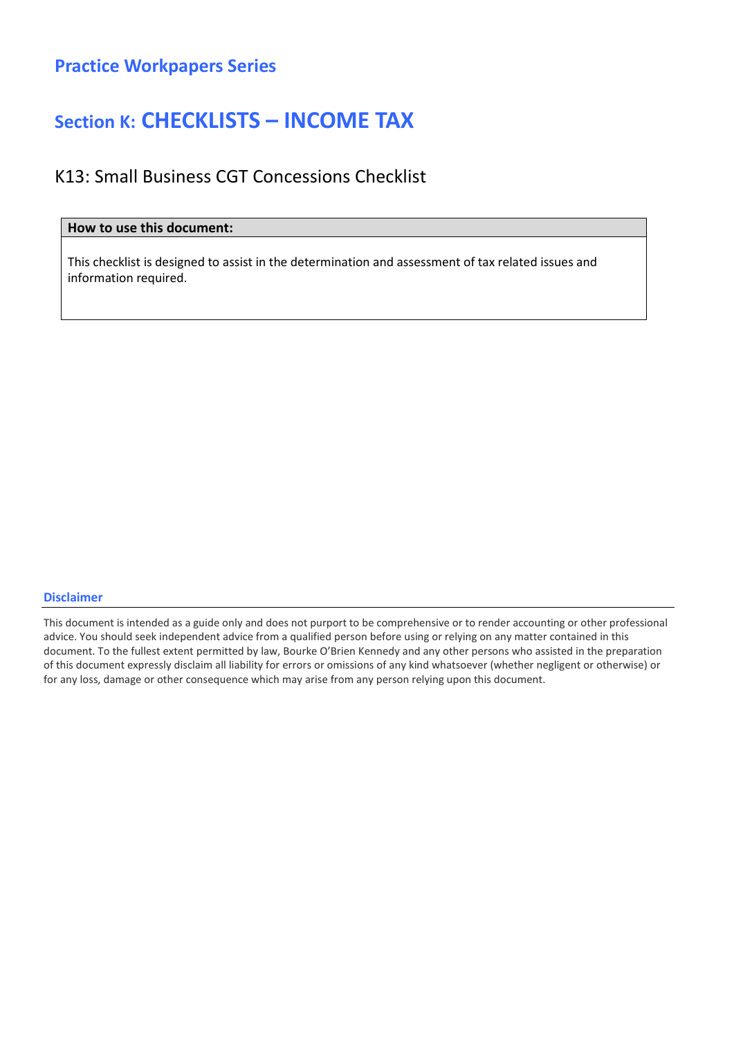### Section K: CHECKLISTS – INCOME TAX

### K13: Small Business CGT Concessions Checklist

### How to use this document:

This checklist is designed to assist in the determination and assessment of tax related issues and information required.

#### Disclaimer

This document is intended as a guide only and does not purport to be comprehensive or to render accounting or other professional advice. You should seek independent advice from a qualified person before using or relying on any matter contained in this document. To the fullest extent permitted by law, Bourke O'Brien Kennedy and any other persons who assisted in the preparation of this document expressly disclaim all liability for errors or omissions of any kind whatsoever (whether negligent or otherwise) or for any loss, damage or other consequence which may arise from any person relying upon this document.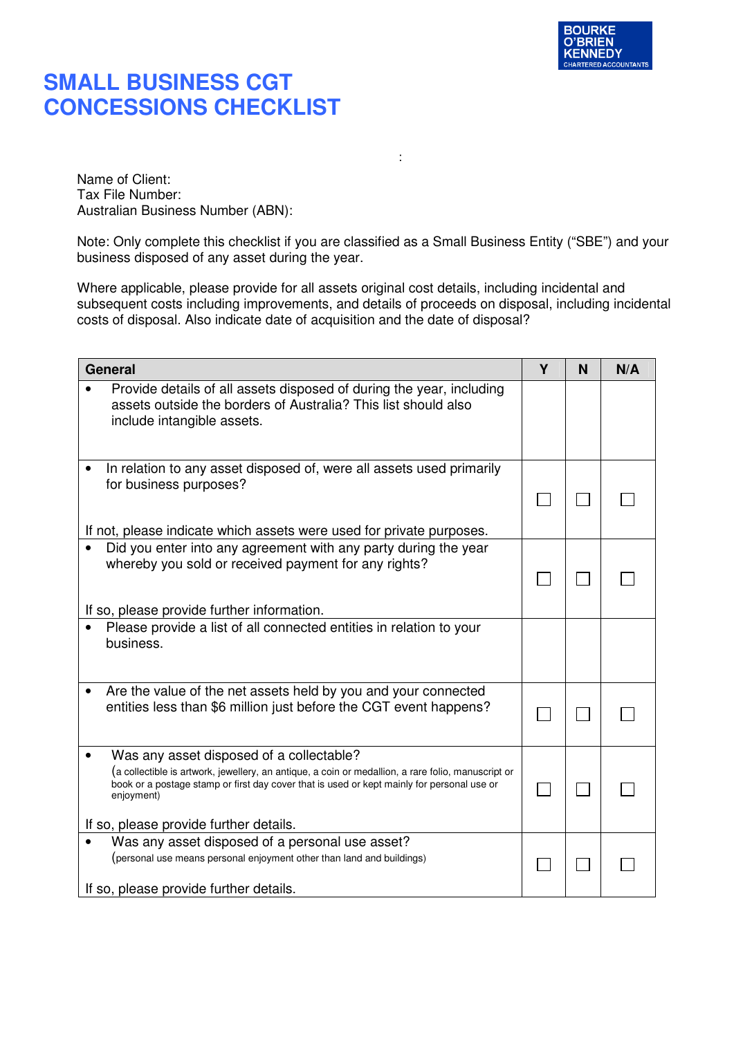

## **SMALL BUSINESS CGT CONCESSIONS CHECKLIST**

Name of Client: Tax File Number: Australian Business Number (ABN):

Note: Only complete this checklist if you are classified as a Small Business Entity ("SBE") and your business disposed of any asset during the year.

:

Where applicable, please provide for all assets original cost details, including incidental and subsequent costs including improvements, and details of proceeds on disposal, including incidental costs of disposal. Also indicate date of acquisition and the date of disposal?

| <b>General</b>                                                                                                                                                                                                 | Y | N | N/A |
|----------------------------------------------------------------------------------------------------------------------------------------------------------------------------------------------------------------|---|---|-----|
| Provide details of all assets disposed of during the year, including<br>assets outside the borders of Australia? This list should also<br>include intangible assets.                                           |   |   |     |
| In relation to any asset disposed of, were all assets used primarily<br>for business purposes?                                                                                                                 |   |   |     |
| If not, please indicate which assets were used for private purposes.                                                                                                                                           |   |   |     |
| Did you enter into any agreement with any party during the year<br>whereby you sold or received payment for any rights?<br>If so, please provide further information.                                          |   |   |     |
| Please provide a list of all connected entities in relation to your<br>business.                                                                                                                               |   |   |     |
| Are the value of the net assets held by you and your connected<br>entities less than \$6 million just before the CGT event happens?                                                                            |   |   |     |
| Was any asset disposed of a collectable?                                                                                                                                                                       |   |   |     |
| (a collectible is artwork, jewellery, an antique, a coin or medallion, a rare folio, manuscript or<br>book or a postage stamp or first day cover that is used or kept mainly for personal use or<br>enjoyment) |   |   |     |
| If so, please provide further details.                                                                                                                                                                         |   |   |     |
| Was any asset disposed of a personal use asset?<br>(personal use means personal enjoyment other than land and buildings)<br>If so, please provide further details.                                             |   |   |     |